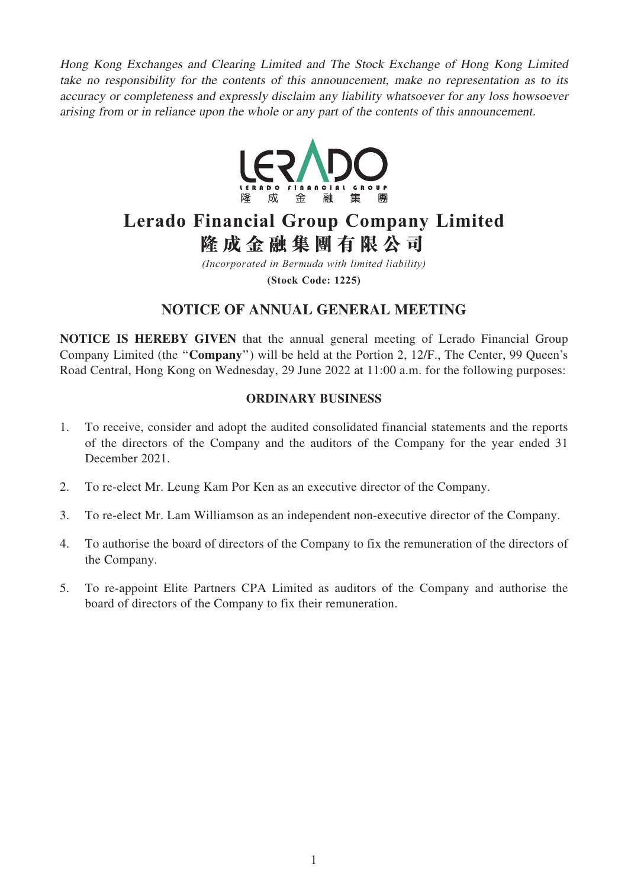Hong Kong Exchanges and Clearing Limited and The Stock Exchange of Hong Kong Limited take no responsibility for the contents of this announcement, make no representation as to its accuracy or completeness and expressly disclaim any liability whatsoever for any loss howsoever arising from or in reliance upon the whole or any part of the contents of this announcement.



# **Lerado Financial Group Company Limited 隆成金融集團有限公司**

*(Incorporated in Bermuda with limited liability)* **(Stock Code: 1225)**

## NOTICE OF ANNUAL GENERAL MEETING

NOTICE IS HEREBY GIVEN that the annual general meeting of Lerado Financial Group Company Limited (the ''Company'') will be held at the Portion 2, 12/F., The Center, 99 Queen's Road Central, Hong Kong on Wednesday, 29 June 2022 at 11:00 a.m. for the following purposes:

## ORDINARY BUSINESS

- 1. To receive, consider and adopt the audited consolidated financial statements and the reports of the directors of the Company and the auditors of the Company for the year ended 31 December 2021.
- 2. To re-elect Mr. Leung Kam Por Ken as an executive director of the Company.
- 3. To re-elect Mr. Lam Williamson as an independent non-executive director of the Company.
- 4. To authorise the board of directors of the Company to fix the remuneration of the directors of the Company.
- 5. To re-appoint Elite Partners CPA Limited as auditors of the Company and authorise the board of directors of the Company to fix their remuneration.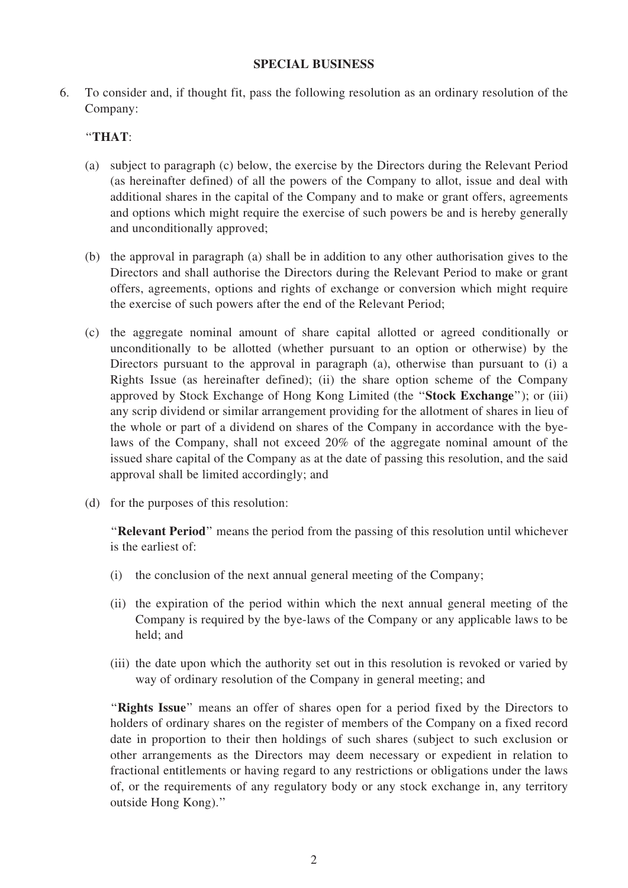#### SPECIAL BUSINESS

6. To consider and, if thought fit, pass the following resolution as an ordinary resolution of the Company:

## ''THAT:

- (a) subject to paragraph (c) below, the exercise by the Directors during the Relevant Period (as hereinafter defined) of all the powers of the Company to allot, issue and deal with additional shares in the capital of the Company and to make or grant offers, agreements and options which might require the exercise of such powers be and is hereby generally and unconditionally approved;
- (b) the approval in paragraph (a) shall be in addition to any other authorisation gives to the Directors and shall authorise the Directors during the Relevant Period to make or grant offers, agreements, options and rights of exchange or conversion which might require the exercise of such powers after the end of the Relevant Period;
- (c) the aggregate nominal amount of share capital allotted or agreed conditionally or unconditionally to be allotted (whether pursuant to an option or otherwise) by the Directors pursuant to the approval in paragraph (a), otherwise than pursuant to (i) a Rights Issue (as hereinafter defined); (ii) the share option scheme of the Company approved by Stock Exchange of Hong Kong Limited (the ''Stock Exchange''); or (iii) any scrip dividend or similar arrangement providing for the allotment of shares in lieu of the whole or part of a dividend on shares of the Company in accordance with the byelaws of the Company, shall not exceed 20% of the aggregate nominal amount of the issued share capital of the Company as at the date of passing this resolution, and the said approval shall be limited accordingly; and
- (d) for the purposes of this resolution:

"Relevant Period" means the period from the passing of this resolution until whichever is the earliest of:

- (i) the conclusion of the next annual general meeting of the Company;
- (ii) the expiration of the period within which the next annual general meeting of the Company is required by the bye-laws of the Company or any applicable laws to be held; and
- (iii) the date upon which the authority set out in this resolution is revoked or varied by way of ordinary resolution of the Company in general meeting; and

"Rights Issue" means an offer of shares open for a period fixed by the Directors to holders of ordinary shares on the register of members of the Company on a fixed record date in proportion to their then holdings of such shares (subject to such exclusion or other arrangements as the Directors may deem necessary or expedient in relation to fractional entitlements or having regard to any restrictions or obligations under the laws of, or the requirements of any regulatory body or any stock exchange in, any territory outside Hong Kong).''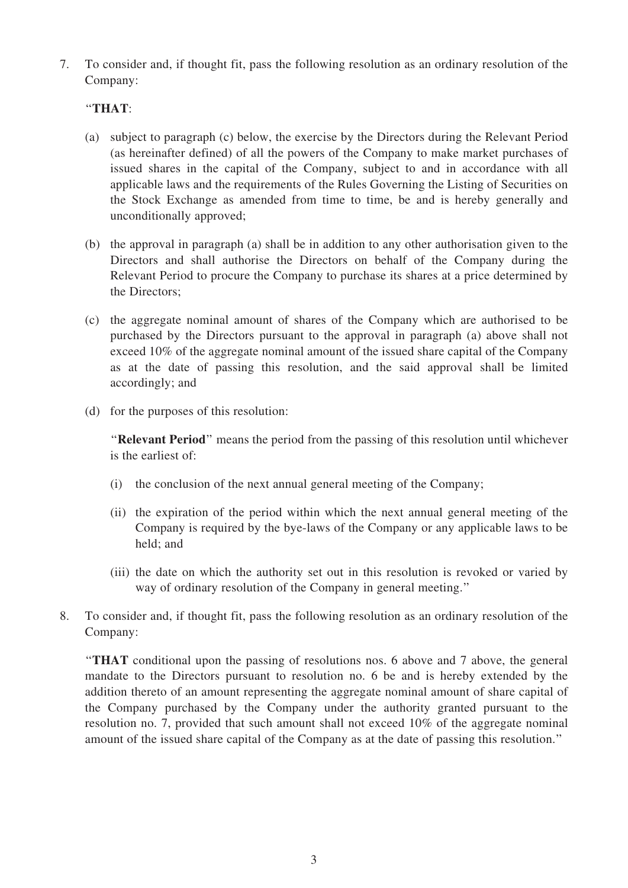7. To consider and, if thought fit, pass the following resolution as an ordinary resolution of the Company:

## ''THAT:

- (a) subject to paragraph (c) below, the exercise by the Directors during the Relevant Period (as hereinafter defined) of all the powers of the Company to make market purchases of issued shares in the capital of the Company, subject to and in accordance with all applicable laws and the requirements of the Rules Governing the Listing of Securities on the Stock Exchange as amended from time to time, be and is hereby generally and unconditionally approved;
- (b) the approval in paragraph (a) shall be in addition to any other authorisation given to the Directors and shall authorise the Directors on behalf of the Company during the Relevant Period to procure the Company to purchase its shares at a price determined by the Directors;
- (c) the aggregate nominal amount of shares of the Company which are authorised to be purchased by the Directors pursuant to the approval in paragraph (a) above shall not exceed 10% of the aggregate nominal amount of the issued share capital of the Company as at the date of passing this resolution, and the said approval shall be limited accordingly; and
- (d) for the purposes of this resolution:

"Relevant Period" means the period from the passing of this resolution until whichever is the earliest of:

- (i) the conclusion of the next annual general meeting of the Company;
- (ii) the expiration of the period within which the next annual general meeting of the Company is required by the bye-laws of the Company or any applicable laws to be held; and
- (iii) the date on which the authority set out in this resolution is revoked or varied by way of ordinary resolution of the Company in general meeting.''
- 8. To consider and, if thought fit, pass the following resolution as an ordinary resolution of the Company:

''THAT conditional upon the passing of resolutions nos. 6 above and 7 above, the general mandate to the Directors pursuant to resolution no. 6 be and is hereby extended by the addition thereto of an amount representing the aggregate nominal amount of share capital of the Company purchased by the Company under the authority granted pursuant to the resolution no. 7, provided that such amount shall not exceed 10% of the aggregate nominal amount of the issued share capital of the Company as at the date of passing this resolution.''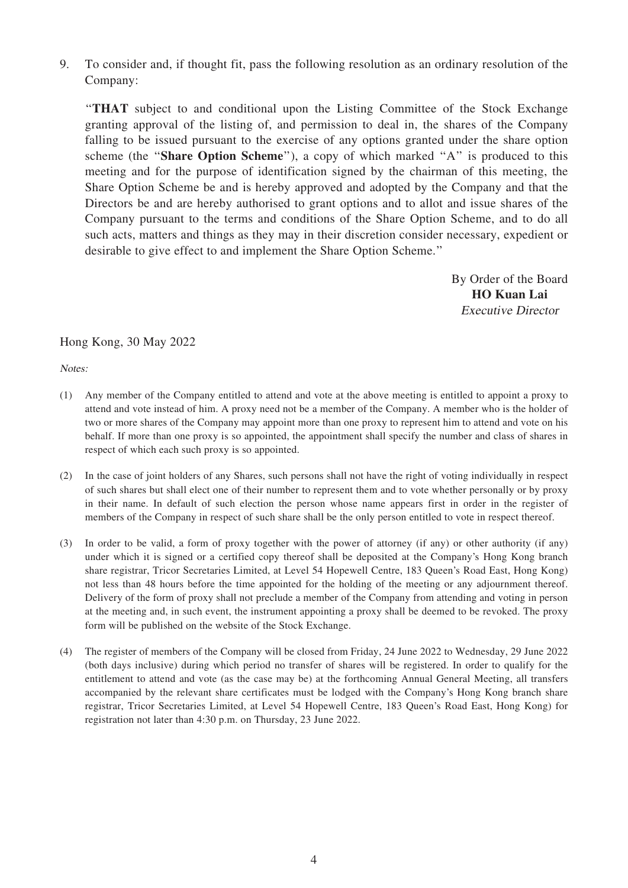9. To consider and, if thought fit, pass the following resolution as an ordinary resolution of the Company:

''THAT subject to and conditional upon the Listing Committee of the Stock Exchange granting approval of the listing of, and permission to deal in, the shares of the Company falling to be issued pursuant to the exercise of any options granted under the share option scheme (the "Share Option Scheme"), a copy of which marked "A" is produced to this meeting and for the purpose of identification signed by the chairman of this meeting, the Share Option Scheme be and is hereby approved and adopted by the Company and that the Directors be and are hereby authorised to grant options and to allot and issue shares of the Company pursuant to the terms and conditions of the Share Option Scheme, and to do all such acts, matters and things as they may in their discretion consider necessary, expedient or desirable to give effect to and implement the Share Option Scheme.''

> By Order of the Board HO Kuan Lai Executive Director

Hong Kong, 30 May 2022

Notes:

- (1) Any member of the Company entitled to attend and vote at the above meeting is entitled to appoint a proxy to attend and vote instead of him. A proxy need not be a member of the Company. A member who is the holder of two or more shares of the Company may appoint more than one proxy to represent him to attend and vote on his behalf. If more than one proxy is so appointed, the appointment shall specify the number and class of shares in respect of which each such proxy is so appointed.
- (2) In the case of joint holders of any Shares, such persons shall not have the right of voting individually in respect of such shares but shall elect one of their number to represent them and to vote whether personally or by proxy in their name. In default of such election the person whose name appears first in order in the register of members of the Company in respect of such share shall be the only person entitled to vote in respect thereof.
- (3) In order to be valid, a form of proxy together with the power of attorney (if any) or other authority (if any) under which it is signed or a certified copy thereof shall be deposited at the Company's Hong Kong branch share registrar, Tricor Secretaries Limited, at Level 54 Hopewell Centre, 183 Queen's Road East, Hong Kong) not less than 48 hours before the time appointed for the holding of the meeting or any adjournment thereof. Delivery of the form of proxy shall not preclude a member of the Company from attending and voting in person at the meeting and, in such event, the instrument appointing a proxy shall be deemed to be revoked. The proxy form will be published on the website of the Stock Exchange.
- (4) The register of members of the Company will be closed from Friday, 24 June 2022 to Wednesday, 29 June 2022 (both days inclusive) during which period no transfer of shares will be registered. In order to qualify for the entitlement to attend and vote (as the case may be) at the forthcoming Annual General Meeting, all transfers accompanied by the relevant share certificates must be lodged with the Company's Hong Kong branch share registrar, Tricor Secretaries Limited, at Level 54 Hopewell Centre, 183 Queen's Road East, Hong Kong) for registration not later than 4:30 p.m. on Thursday, 23 June 2022.